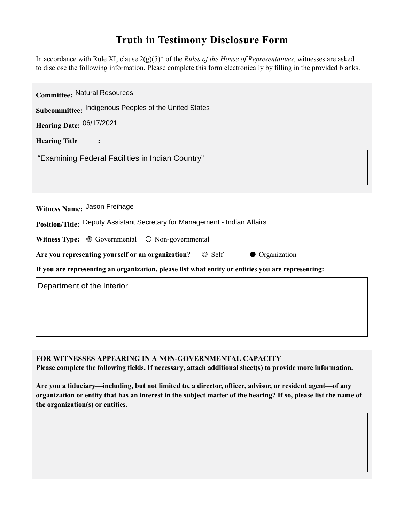## **Truth in Testimony Disclosure Form**

In accordance with Rule XI, clause 2(g)(5)\* of the *Rules of the House of Representatives*, witnesses are asked to disclose the following information. Please complete this form electronically by filling in the provided blanks.

| <b>Committee: Natural Resources</b>                                                                |
|----------------------------------------------------------------------------------------------------|
| Subcommittee: Indigenous Peoples of the United States                                              |
| Hearing Date: 06/17/2021                                                                           |
| <b>Hearing Title</b>                                                                               |
| "Examining Federal Facilities in Indian Country"                                                   |
|                                                                                                    |
|                                                                                                    |
| Witness Name: Jason Freihage                                                                       |
| Position/Title: Deputy Assistant Secretary for Management - Indian Affairs                         |
| <b>Witness Type:</b> $\odot$ Governmental $\odot$ Non-governmental                                 |
| Are you representing yourself or an organization? © Self<br>• Organization                         |
| If you are representing an organization, please list what entity or entities you are representing: |
| Department of the Interior                                                                         |
|                                                                                                    |
|                                                                                                    |
|                                                                                                    |

## **FOR WITNESSES APPEARING IN A NON-GOVERNMENTAL CAPACITY**

**Please complete the following fields. If necessary, attach additional sheet(s) to provide more information.**

**Are you a fiduciary—including, but not limited to, a director, officer, advisor, or resident agent—of any organization or entity that has an interest in the subject matter of the hearing? If so, please list the name of the organization(s) or entities.**